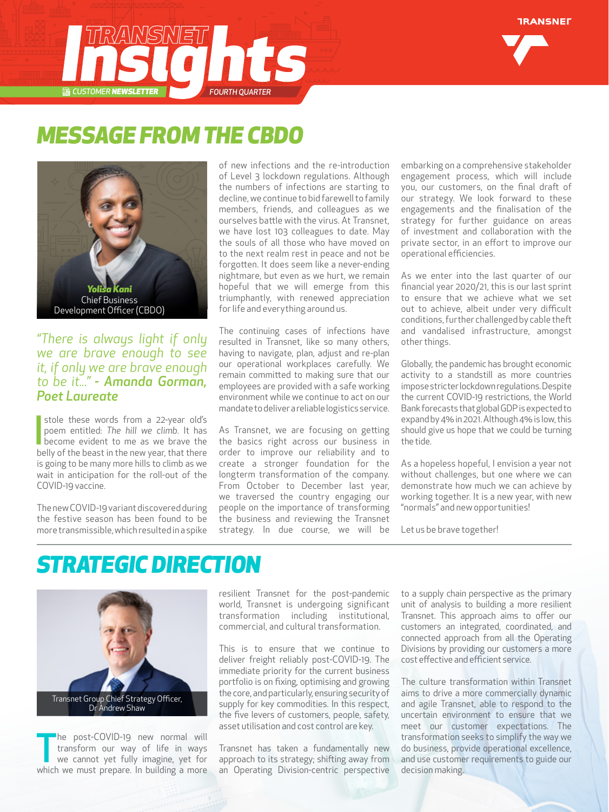

## *MESSAGE FROM THE CBDO*



#### *"There is always light if only we are brave enough to see it, if only we are brave enough to be it..." - Amanda Gorman, Poet Laureate*

stole these words from a 22-year old's<br>poem entitled: The hill we climb. It has<br>become evident to me as we brave the<br>belly of the beast in the pow your that there stole these words from a 22-year old's poem entitled: *The hill we climb.* It has belly of the beast in the new year, that there is going to be many more hills to climb as we wait in anticipation for the roll-out of the COVID-19 vaccine.

The new COVID-19 variant discovered during the festive season has been found to be more transmissible, which resulted in a spike of new infections and the re-introduction of Level 3 lockdown regulations. Although the numbers of infections are starting to decline, we continue to bid farewell to family members, friends, and colleagues as we ourselves battle with the virus. At Transnet, we have lost 103 colleagues to date. May the souls of all those who have moved on to the next realm rest in peace and not be forgotten. It does seem like a never-ending nightmare, but even as we hurt, we remain hopeful that we will emerge from this triumphantly, with renewed appreciation for life and everything around us.

The continuing cases of infections have resulted in Transnet, like so many others, having to navigate, plan, adjust and re-plan our operational workplaces carefully. We remain committed to making sure that our employees are provided with a safe working environment while we continue to act on our mandate to deliver a reliable logistics service.

As Transnet, we are focusing on getting the basics right across our business in order to improve our reliability and to create a stronger foundation for the longterm transformation of the company. From October to December last year, we traversed the country engaging our people on the importance of transforming the business and reviewing the Transnet strategy. In due course, we will be

embarking on a comprehensive stakeholder engagement process, which will include you, our customers, on the final draft of our strategy. We look forward to these engagements and the finalisation of the strategy for further guidance on areas of investment and collaboration with the private sector, in an effort to improve our operational efficiencies.

As we enter into the last quarter of our financial year 2020/21, this is our last sprint to ensure that we achieve what we set out to achieve, albeit under very difficult conditions, further challenged by cable theft and vandalised infrastructure, amongst other things.

Globally, the pandemic has brought economic activity to a standstill as more countries impose stricter lockdown regulations. Despite the current COVID-19 restrictions, the World Bank forecasts that global GDP is expected to expand by 4% in 2021. Although 4% is low, this should give us hope that we could be turning the tide.

As a hopeless hopeful, I envision a year not without challenges, but one where we can demonstrate how much we can achieve by working together. It is a new year, with new "normals" and new opportunities!

Let us be brave together!

### *STRATEGIC DIRECTION*



The post-COVID-19 new normal will<br>transform our way of life in ways<br>we cannot yet fully imagine, yet for<br>which we must prepare. In building a more he post-COVID-19 new normal will transform our way of life in ways we cannot yet fully imagine, yet for resilient Transnet for the post-pandemic world, Transnet is undergoing significant transformation including institutional, commercial, and cultural transformation.

This is to ensure that we continue to deliver freight reliably post-COVID-19. The immediate priority for the current business portfolio is on fixing, optimising and growing the core, and particularly, ensuring security of supply for key commodities. In this respect, the five levers of customers, people, safety, asset utilisation and cost control are key.

Transnet has taken a fundamentally new approach to its strategy; shifting away from an Operating Division-centric perspective to a supply chain perspective as the primary unit of analysis to building a more resilient Transnet. This approach aims to offer our customers an integrated, coordinated, and connected approach from all the Operating Divisions by providing our customers a more cost effective and efficient service.

The culture transformation within Transnet aims to drive a more commercially dynamic and agile Transnet, able to respond to the uncertain environment to ensure that we meet our customer expectations. The transformation seeks to simplify the way we do business, provide operational excellence, and use customer requirements to guide our decision making.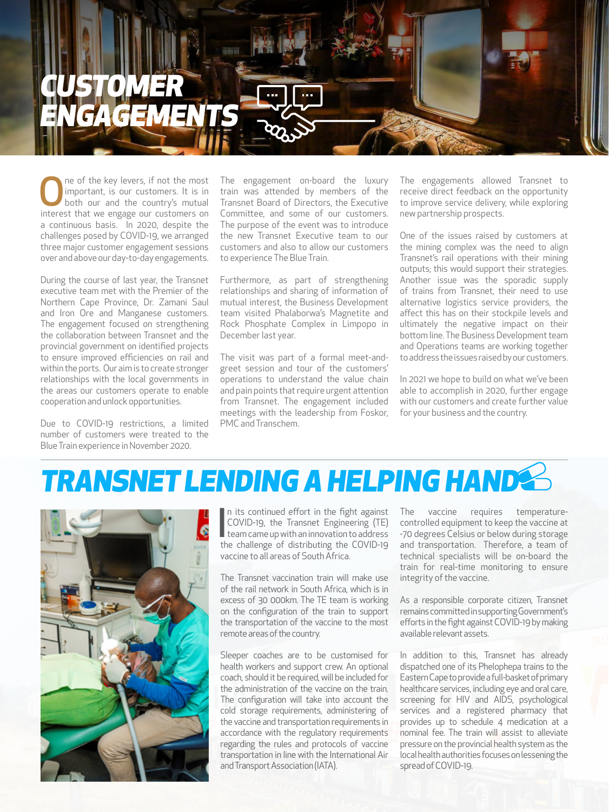

One of the key levers, if not the most<br>
important, is our customers. It is in<br>
both our and the country's mutual<br>
interest that we ensure our customers on important, is our customers. It is in interest that we engage our customers on a continuous basis. In 2020, despite the challenges posed by COVID-19, we arranged three major customer engagement sessions over and above our day-to-day engagements.

During the course of last year, the Transnet executive team met with the Premier of the Northern Cape Province, Dr. Zamani Saul and Iron Ore and Manganese customers. The engagement focused on strengthening the collaboration between Transnet and the provincial government on identified projects to ensure improved efficiencies on rail and within the ports. Our aim is to create stronger relationships with the local governments in the areas our customers operate to enable cooperation and unlock opportunities.

Due to COVID-19 restrictions, a limited number of customers were treated to the Blue Train experience in November 2020.

The engagement on-board the luxury train was attended by members of the Transnet Board of Directors, the Executive Committee, and some of our customers. The purpose of the event was to introduce the new Transnet Executive team to our customers and also to allow our customers to experience The Blue Train.

Furthermore, as part of strengthening relationships and sharing of information of mutual interest, the Business Development team visited Phalaborwa's Magnetite and Rock Phosphate Complex in Limpopo in December last year.

The visit was part of a formal meet-andgreet session and tour of the customers' operations to understand the value chain and pain points that require urgent attention from Transnet. The engagement included meetings with the leadership from Foskor, PMC and Transchem.

The engagements allowed Transnet to receive direct feedback on the opportunity to improve service delivery, while exploring new partnership prospects.

One of the issues raised by customers at the mining complex was the need to align Transnet's rail operations with their mining outputs; this would support their strategies. Another issue was the sporadic supply of trains from Transnet, their need to use alternative logistics service providers, the affect this has on their stockpile levels and ultimately the negative impact on their bottom line. The Business Development team and Operations teams are working together to address the issues raised by our customers.

In 2021 we hope to build on what we've been able to accomplish in 2020, further engage with our customers and create further value for your business and the country.

# *TRANSNET LENDING A HELPING HAND*



In its continued effort in the fight against<br>COVID-19, the Transnet Engineering (TE)<br>team came up with an innovation to address<br>the challenge of distributing the COVID-19 n its continued effort in the fight against COVID-19, the Transnet Engineering (TE) team came up with an innovation to address vaccine to all areas of South Africa.

The Transnet vaccination train will make use of the rail network in South Africa, which is in excess of 30 000km. The TE team is working on the configuration of the train to support the transportation of the vaccine to the most remote areas of the country.

Sleeper coaches are to be customised for health workers and support crew. An optional coach, should it be required, will be included for the administration of the vaccine on the train. The configuration will take into account the cold storage requirements, administering of the vaccine and transportation requirements in accordance with the regulatory requirements regarding the rules and protocols of vaccine transportation in line with the International Air and Transport Association (IATA).

The vaccine requires temperaturecontrolled equipment to keep the vaccine at -70 degrees Celsius or below during storage and transportation. Therefore, a team of technical specialists will be on-board the train for real-time monitoring to ensure integrity of the vaccine.

As a responsible corporate citizen, Transnet remains committed in supporting Government's efforts in the fight against COVID-19 by making available relevant assets.

In addition to this, Transnet has already dispatched one of its Phelophepa trains to the Eastern Cape to provide a full-basket of primary healthcare services, including eye and oral care, screening for HIV and AIDS, psychological services and a registered pharmacy that provides up to schedule 4 medication at a nominal fee. The train will assist to alleviate pressure on the provincial health system as the local health authorities focuses on lessening the spread of COVID-19.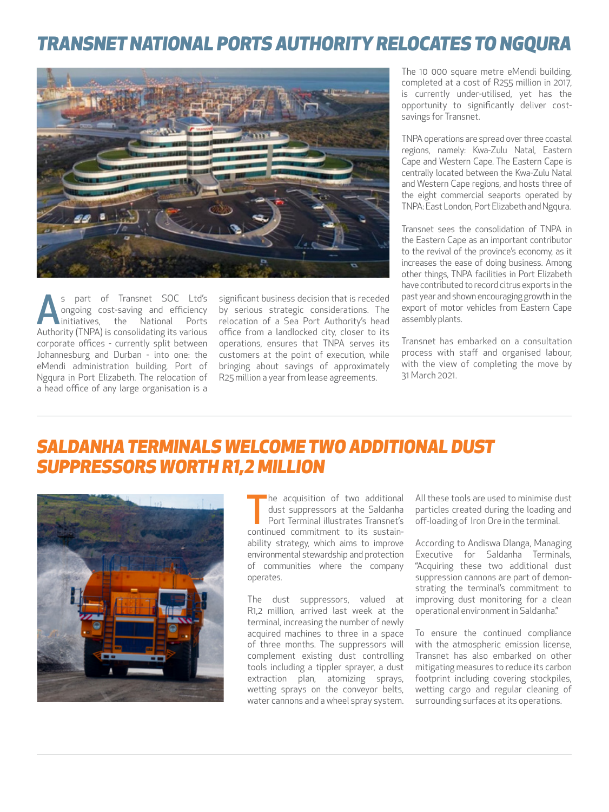#### *TRANSNET NATIONAL PORTS AUTHORITY RELOCATES TO NGQURA*



s part of Transnet SOC Ltd's<br>
ongoing cost-saving and efficiency<br>
initiatives, the National Ports<br>
Authority (TNDA) is consolidating its various ongoing cost-saving and efficiency initiatives, the National Ports Authority (TNPA) is consolidating its various corporate offices - currently split between Johannesburg and Durban - into one: the eMendi administration building, Port of Ngqura in Port Elizabeth. The relocation of a head office of any large organisation is a

significant business decision that is receded by serious strategic considerations. The relocation of a Sea Port Authority's head office from a landlocked city, closer to its operations, ensures that TNPA serves its customers at the point of execution, while bringing about savings of approximately R25 million a year from lease agreements.

The 10,000 square metre eMendi building completed at a cost of R255 million in 2017, is currently under-utilised, yet has the opportunity to significantly deliver costsavings for Transnet.

TNPA operations are spread over three coastal regions, namely: Kwa-Zulu Natal, Eastern Cape and Western Cape. The Eastern Cape is centrally located between the Kwa-Zulu Natal and Western Cape regions, and hosts three of the eight commercial seaports operated by TNPA: East London, Port Elizabeth and Ngqura.

Transnet sees the consolidation of TNPA in the Eastern Cape as an important contributor to the revival of the province's economy, as it increases the ease of doing business. Among other things, TNPA facilities in Port Elizabeth have contributed to record citrus exports in the past year and shown encouraging growth in the export of motor vehicles from Eastern Cape assembly plants.

Transnet has embarked on a consultation process with staff and organised labour, with the view of completing the move by 31 March 2021.

#### *SALDANHA TERMINALS WELCOME TWO ADDITIONAL DUST SUPPRESSORS WORTH R1,2 MILLION*



The acquisition of two additional<br>dust suppressors at the Saldanha<br>Port Terminal illustrates Transnet's<br>continued commitment to its sustainhe acquisition of two additional dust suppressors at the Saldanha Port Terminal illustrates Transnet's ability strategy, which aims to improve environmental stewardship and protection of communities where the company operates.

The dust suppressors, valued at R1,2 million, arrived last week at the terminal, increasing the number of newly acquired machines to three in a space of three months. The suppressors will complement existing dust controlling tools including a tippler sprayer, a dust extraction plan, atomizing sprays, wetting sprays on the conveyor belts, water cannons and a wheel spray system. All these tools are used to minimise dust particles created during the loading and off-loading of Iron Ore in the terminal.

According to Andiswa Dlanga, Managing Executive for Saldanha Terminals, "Acquiring these two additional dust suppression cannons are part of demonstrating the terminal's commitment to improving dust monitoring for a clean operational environment in Saldanha."

To ensure the continued compliance with the atmospheric emission license, Transnet has also embarked on other mitigating measures to reduce its carbon footprint including covering stockpiles, wetting cargo and regular cleaning of surrounding surfaces at its operations.